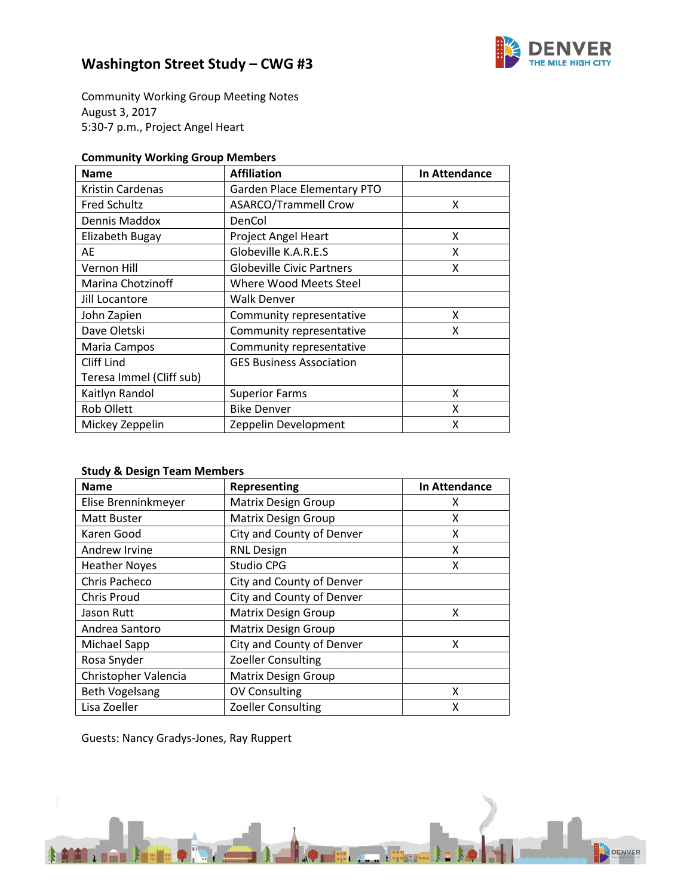

# **Washington Street Study – CWG #3**

Community Working Group Meeting Notes August 3, 2017 5:30-7 p.m., Project Angel Heart

### **Community Working Group Members**

| <b>Name</b>              | <b>Affiliation</b>               | In Attendance |
|--------------------------|----------------------------------|---------------|
| <b>Kristin Cardenas</b>  | Garden Place Elementary PTO      |               |
| <b>Fred Schultz</b>      | <b>ASARCO/Trammell Crow</b>      | x             |
| Dennis Maddox            | DenCol                           |               |
| Elizabeth Bugay          | Project Angel Heart              | x             |
| AE                       | Globeville K.A.R.E.S             | x             |
| Vernon Hill              | <b>Globeville Civic Partners</b> | x             |
| Marina Chotzinoff        | Where Wood Meets Steel           |               |
| Jill Locantore           | <b>Walk Denver</b>               |               |
| John Zapien              | Community representative         | x             |
| Dave Oletski             | Community representative         | x             |
| Maria Campos             | Community representative         |               |
| Cliff Lind               | <b>GES Business Association</b>  |               |
| Teresa Immel (Cliff sub) |                                  |               |
| Kaitlyn Randol           | <b>Superior Farms</b>            | x             |
| <b>Rob Ollett</b>        | <b>Bike Denver</b>               | x             |
| Mickey Zeppelin          | Zeppelin Development             | x             |

### **Study & Design Team Members**

| <b>Name</b>           | Representing               | In Attendance |
|-----------------------|----------------------------|---------------|
| Elise Brenninkmeyer   | <b>Matrix Design Group</b> | х             |
| Matt Buster           | <b>Matrix Design Group</b> | χ             |
| Karen Good            | City and County of Denver  | x             |
| Andrew Irvine         | <b>RNL Design</b>          | χ             |
| <b>Heather Noyes</b>  | Studio CPG                 | х             |
| Chris Pacheco         | City and County of Denver  |               |
| <b>Chris Proud</b>    | City and County of Denver  |               |
| Jason Rutt            | <b>Matrix Design Group</b> | x             |
| Andrea Santoro        | <b>Matrix Design Group</b> |               |
| Michael Sapp          | City and County of Denver  | x             |
| Rosa Snyder           | <b>Zoeller Consulting</b>  |               |
| Christopher Valencia  | <b>Matrix Design Group</b> |               |
| <b>Beth Vogelsang</b> | <b>OV Consulting</b>       | X             |
| Lisa Zoeller          | <b>Zoeller Consulting</b>  | X             |

Guests: Nancy Gradys-Jones, Ray Ruppert

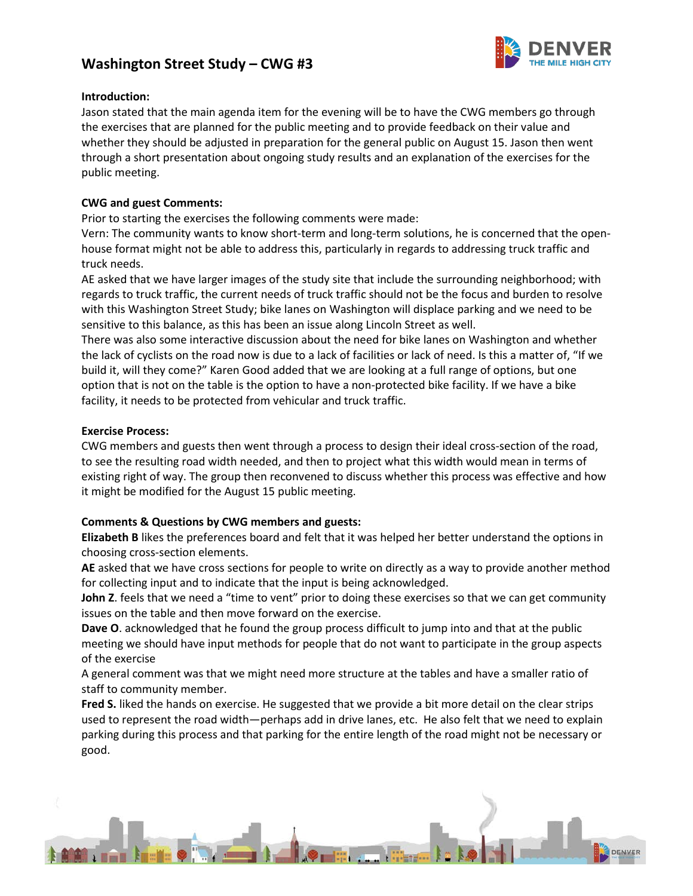## **Washington Street Study – CWG #3**



#### **Introduction:**

Jason stated that the main agenda item for the evening will be to have the CWG members go through the exercises that are planned for the public meeting and to provide feedback on their value and whether they should be adjusted in preparation for the general public on August 15. Jason then went through a short presentation about ongoing study results and an explanation of the exercises for the public meeting.

#### **CWG and guest Comments:**

Prior to starting the exercises the following comments were made:

Vern: The community wants to know short-term and long-term solutions, he is concerned that the openhouse format might not be able to address this, particularly in regards to addressing truck traffic and truck needs.

AE asked that we have larger images of the study site that include the surrounding neighborhood; with regards to truck traffic, the current needs of truck traffic should not be the focus and burden to resolve with this Washington Street Study; bike lanes on Washington will displace parking and we need to be sensitive to this balance, as this has been an issue along Lincoln Street as well.

There was also some interactive discussion about the need for bike lanes on Washington and whether the lack of cyclists on the road now is due to a lack of facilities or lack of need. Is this a matter of, "If we build it, will they come?" Karen Good added that we are looking at a full range of options, but one option that is not on the table is the option to have a non-protected bike facility. If we have a bike facility, it needs to be protected from vehicular and truck traffic.

#### **Exercise Process:**

CWG members and guests then went through a process to design their ideal cross-section of the road, to see the resulting road width needed, and then to project what this width would mean in terms of existing right of way. The group then reconvened to discuss whether this process was effective and how it might be modified for the August 15 public meeting.

#### **Comments & Questions by CWG members and guests:**

**Elizabeth B** likes the preferences board and felt that it was helped her better understand the options in choosing cross-section elements.

**AE** asked that we have cross sections for people to write on directly as a way to provide another method for collecting input and to indicate that the input is being acknowledged.

**John Z**. feels that we need a "time to vent" prior to doing these exercises so that we can get community issues on the table and then move forward on the exercise.

**Dave O**. acknowledged that he found the group process difficult to jump into and that at the public meeting we should have input methods for people that do not want to participate in the group aspects of the exercise

A general comment was that we might need more structure at the tables and have a smaller ratio of staff to community member.

**Fred S.** liked the hands on exercise. He suggested that we provide a bit more detail on the clear strips used to represent the road width—perhaps add in drive lanes, etc. He also felt that we need to explain parking during this process and that parking for the entire length of the road might not be necessary or good.